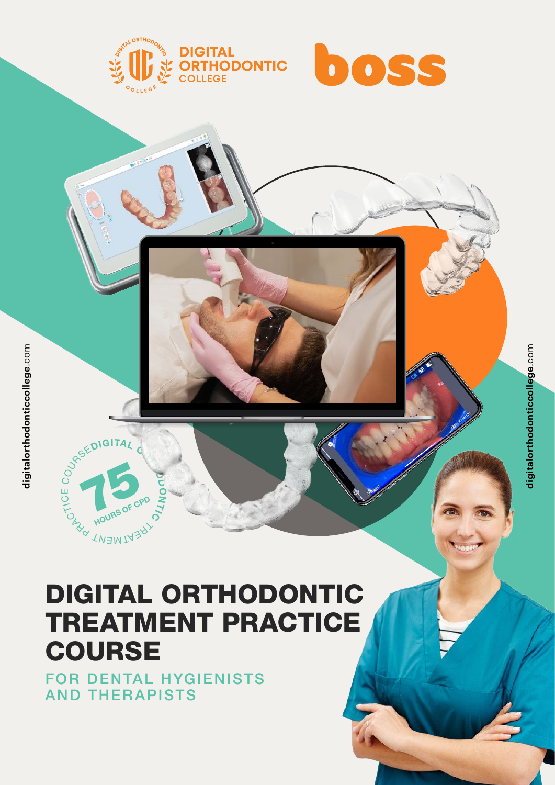



**digitalorthodonticcollege**.com

digitalorthodonticcollege.com

## **75** HOURS OF CPD  $\overline{\mathbf{r}}$  $\delta$ **TWEMTA<sub>3</sub>RY** LONDON A U<br>Q DIGITAL ORTHODONTIC

ರ O N

# TREATMENT PRACTICE **COURSE**

1 [+61 439 819 412](tel:61439819412) [info@breakthroughwithboss.com](mailto:info%40breakthroughwithboss.com?subject=) [digitalorthodonticcollege.com](https://www.digitalorthodonticcollege.com/)

FOR DENTAL HYGIENISTS AND THERAPISTS

DIGITAL ORD

COURSE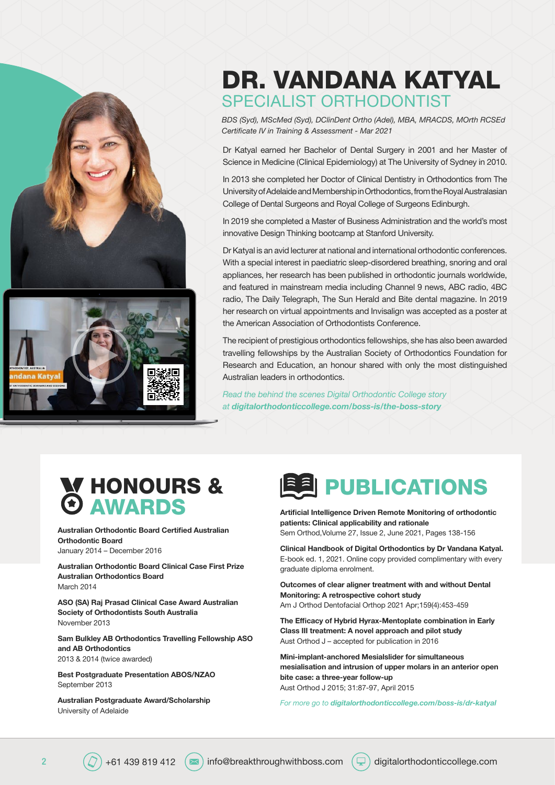



# DR. VANDANA KATYAL SPECIALIST ORTHODONTIST

*BDS (Syd), MScMed (Syd), DClinDent Ortho (Adel), MBA, MRACDS, MOrth RCSEd Certificate IV in Training & Assessment - Mar 2021*

Dr Katyal earned her Bachelor of Dental Surgery in 2001 and her Master of Science in Medicine (Clinical Epidemiology) at The University of Sydney in 2010.

In 2013 she completed her Doctor of Clinical Dentistry in Orthodontics from The University of Adelaide and Membership in Orthodontics, from the Royal Australasian College of Dental Surgeons and Royal College of Surgeons Edinburgh.

In 2019 she completed a Master of Business Administration and the world's most innovative Design Thinking bootcamp at Stanford University.

Dr Katyal is an avid lecturer at national and international orthodontic conferences. With a special interest in paediatric sleep-disordered breathing, snoring and oral appliances, her research has been published in orthodontic journals worldwide, and featured in mainstream media including Channel 9 news, ABC radio, 4BC radio, The Daily Telegraph, The Sun Herald and Bite dental magazine. In 2019 her research on virtual appointments and Invisalign was accepted as a poster at the American Association of Orthodontists Conference.

The recipient of prestigious orthodontics fellowships, she has also been awarded travelling fellowships by the Australian Society of Orthodontics Foundation for Research and Education, an honour shared with only the most distinguished Australian leaders in orthodontics.

*Read the behind the scenes Digital Orthodontic College story at [digitalorthodonticcollege.com/boss-is/the-boss-story](https://digitalorthodonticcollege.com/boss-is/the-boss-story)*

# HONOURS & AWARDS

Australian Orthodontic Board Certified Australian Orthodontic Board

January 2014 – December 2016

Australian Orthodontic Board Clinical Case First Prize Australian Orthodontics Board March 2014

ASO (SA) Raj Prasad Clinical Case Award Australian Society of Orthodontists South Australia November 2013

Sam Bulkley AB Orthodontics Travelling Fellowship ASO and AB Orthodontics 2013 & 2014 (twice awarded)

Best Postgraduate Presentation ABOS/NZAO September 2013

Australian Postgraduate Award/Scholarship University of Adelaide



Artificial Intelligence Driven Remote Monitoring of orthodontic patients: Clinical applicability and rationale Sem Orthod,Volume 27, Issue 2, June 2021, Pages 138-156

Clinical Handbook of Digital Orthodontics by Dr Vandana Katyal. E-book ed. 1, 2021. Online copy provided complimentary with every graduate diploma enrolment.

Outcomes of clear aligner treatment with and without Dental Monitoring: A retrospective cohort study Am J Orthod Dentofacial Orthop 2021 Apr;159(4):453-459

The Efficacy of Hybrid Hyrax-Mentoplate combination in Early Class III treatment: A novel approach and pilot study Aust Orthod J – accepted for publication in 2016

Mini-implant-anchored Mesialslider for simultaneous mesialisation and intrusion of upper molars in an anterior open bite case: a three-year follow-up Aust Orthod J 2015; 31:87-97, April 2015

*For more go to [digitalorthodonticcollege.com/boss-is/dr-katyal](http://digitalorthodonticcollege.com/boss-is/dr-katyal)*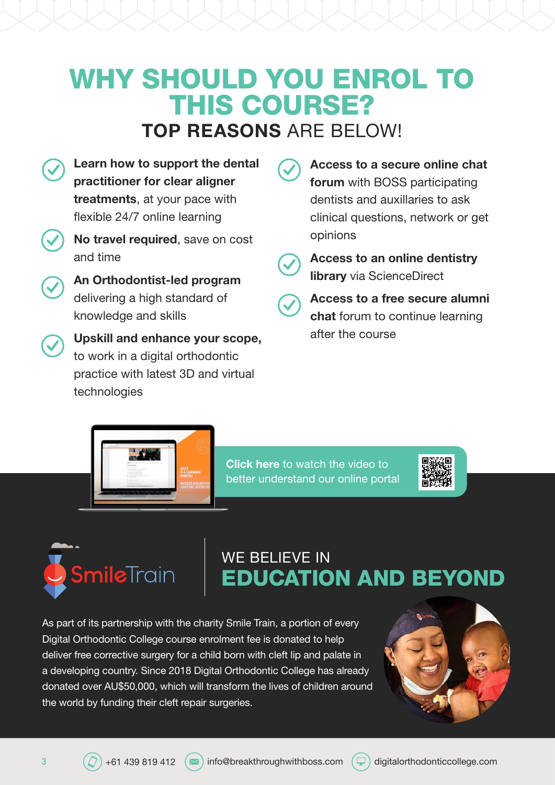# WHY SHOULD YOU ENROL TO THIS COURSE? TOP REASONS ARF BFLOW!



Learn how to support the dental

An Orthodontist-led program delivering a high standard of knowledge and skills

Upskill and enhance your scope, to work in a digital orthodontic practice with latest 3D and virtual technologies

Access to a secure online chat forum with BOSS participating dentists and auxillaries to ask clinical questions, network or get opinions

Access to an online dentistry **library** via ScienceDirect

Access to a free secure alumni chat forum to continue learning after the course

Click here to watch the video to better understand our online portal





# WE BELIEVE IN EDUCATION AND BEYOND

As part of its partnership with the charity Smile Train, a portion of every Digital Orthodontic College course enrolment fee is donated to help deliver free corrective surgery for a child born with cleft lip and palate in a developing country. Since 2018 Digital Orthodontic College has already donated over AU\$50,000, which will transform the lives of children around the world by funding their cleft repair surgeries.



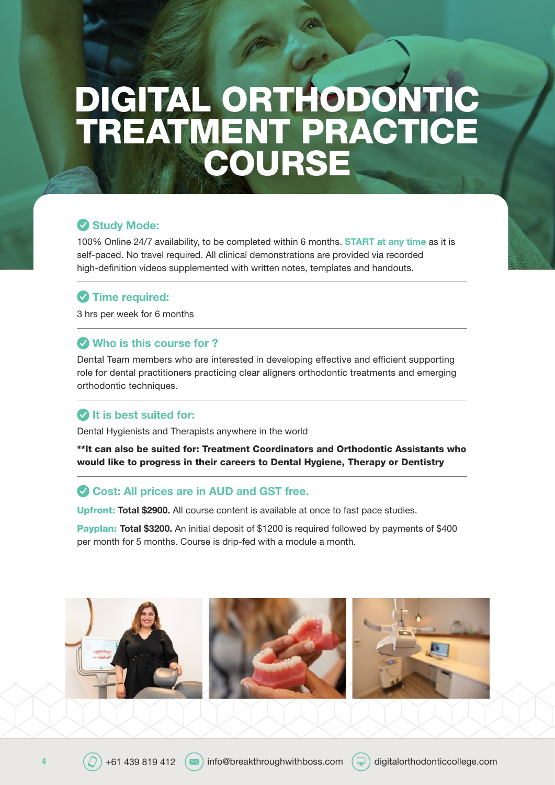# DIGITAL ORTHODONTIC TREATMENT PRACTICE **COURSE**

### Study Mode:

100% Online 24/7 availability, to be completed within 6 months. START at any time as it is self-paced. No travel required. All clinical demonstrations are provided via recorded high-definition videos supplemented with written notes, templates and handouts.

### **v** Time required:

3 hrs per week for 6 months

### Who is this course for ?

Dental Team members who are interested in developing effective and efficient supporting role for dental practitioners practicing clear aligners orthodontic treatments and emerging orthodontic techniques.

## $\bullet$  It is best suited for:

Dental Hygienists and Therapists anywhere in the world

\*\*It can also be suited for: Treatment Coordinators and Orthodontic Assistants who would like to progress in their careers to Dental Hygiene, Therapy or Dentistry

### Cost: All prices are in AUD and GST free.

Upfront: Total \$2900. All course content is available at once to fast pace studies.

Payplan: Total \$3200. An initial deposit of \$1200 is required followed by payments of \$400 per month for 5 months. Course is drip-fed with a module a month.

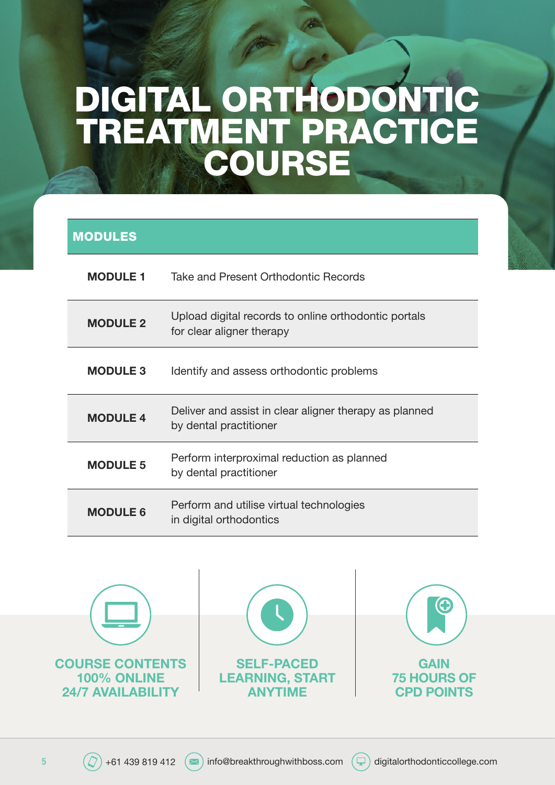# DIGITAL ORTHODONTIC TREATMENT PRACTICE **COURSE**

## MODULES

| <b>MODULE 1</b> | Take and Present Orthodontic Records                                              |
|-----------------|-----------------------------------------------------------------------------------|
| <b>MODULE 2</b> | Upload digital records to online orthodontic portals<br>for clear aligner therapy |
| <b>MODULE 3</b> | Identify and assess orthodontic problems                                          |
| <b>MODULE 4</b> | Deliver and assist in clear aligner therapy as planned<br>by dental practitioner  |
| <b>MODULE 5</b> | Perform interproximal reduction as planned<br>by dental practitioner              |
| <b>MODULE 6</b> | Perform and utilise virtual technologies<br>in digital orthodontics               |

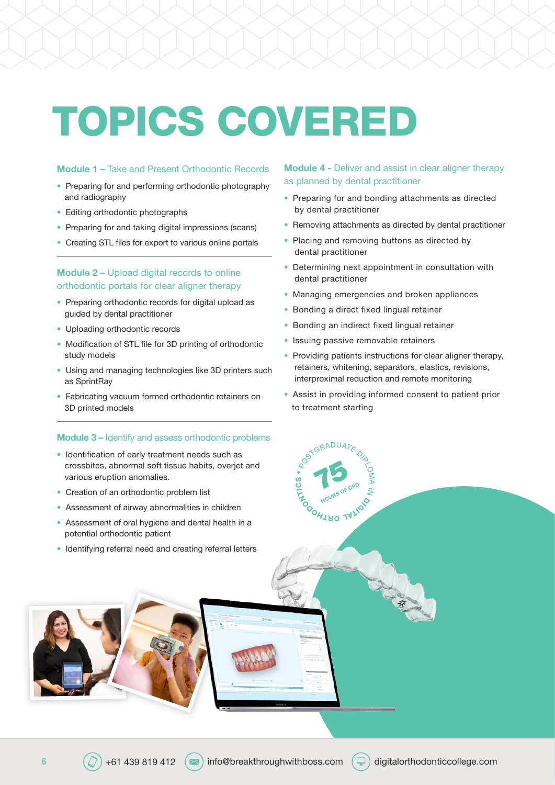# TOPICS COVERED

#### Module 1 – Take and Present Orthodontic Records

- Preparing for and performing orthodontic photography and radiography
- Editing orthodontic photographs
- Preparing for and taking digital impressions (scans)
- Creating STL files for export to various online portals

#### Module 2 – Upload digital records to online orthodontic portals for clear aligner therapy

- Preparing orthodontic records for digital upload as guided by dental practitioner
- Uploading orthodontic records
- Modification of STL file for 3D printing of orthodontic study models
- Using and managing technologies like 3D printers such as SprintRay
- Fabricating vacuum formed orthodontic retainers on 3D printed models

#### Module 3 – Identify and assess orthodontic problems

- Identification of early treatment needs such as crossbites, abnormal soft tissue habits, overjet and various eruption anomalies.
- Creation of an orthodontic problem list
- Assessment of airway abnormalities in children
- Assessment of oral hygiene and dental health in a potential orthodontic patient
- Identifying referral need and creating referral letters

#### Module 4 - Deliver and assist in clear aligner therapy as planned by dental practitioner

- Preparing for and bonding attachments as directed by dental practitioner
- Removing attachments as directed by dental practitioner
- Placing and removing buttons as directed by dental practitioner
- Determining next appointment in consultation with dental practitioner
- Managing emergencies and broken appliances
- Bonding a direct fixed lingual retainer
- Bonding an indirect fixed lingual retainer
- Issuing passive removable retainers

75

**HOURS OF CPD** 

- Providing patients instructions for clear aligner therapy, retainers, whitening, separators, elastics, revisions, interproximal reduction and remote monitoring
- Assist in providing informed consent to patient prior to treatment starting

ASKAN A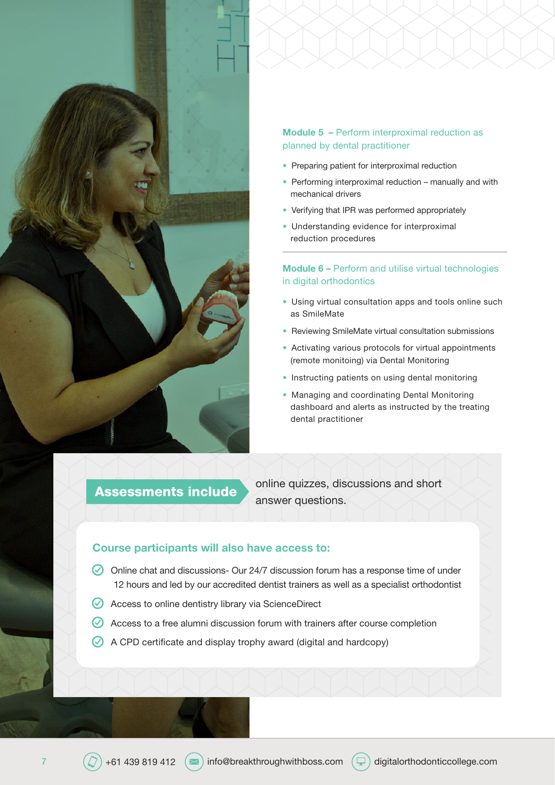

#### Module 5 – Perform interproximal reduction as planned by dental practitioner

- Preparing patient for interproximal reduction
- Performing interproximal reduction manually and with mechanical drivers
- Verifying that IPR was performed appropriately
- Understanding evidence for interproximal reduction procedures

#### Module 6 – Perform and utilise virtual technologies in digital orthodontics

- Using virtual consultation apps and tools online such as SmileMate
- Reviewing SmileMate virtual consultation submissions
- Activating various protocols for virtual appointments (remote monitoing) via Dental Monitoring
- Instructing patients on using dental monitoring
- Managing and coordinating Dental Monitoring dashboard and alerts as instructed by the treating dental practitioner

online quizzes, discussions and short Assessments include<br>answer questions.

#### Course participants will also have access to:

- $\oslash$  Online chat and discussions- Our 24/7 discussion forum has a response time of under 12 hours and led by our accredited dentist trainers as well as a specialist orthodontist
- ◆ Access to online dentistry library via ScienceDirect
- $\oslash$  Access to a free alumni discussion forum with trainers after course completion
- A CPD certificate and display trophy award (digital and hardcopy)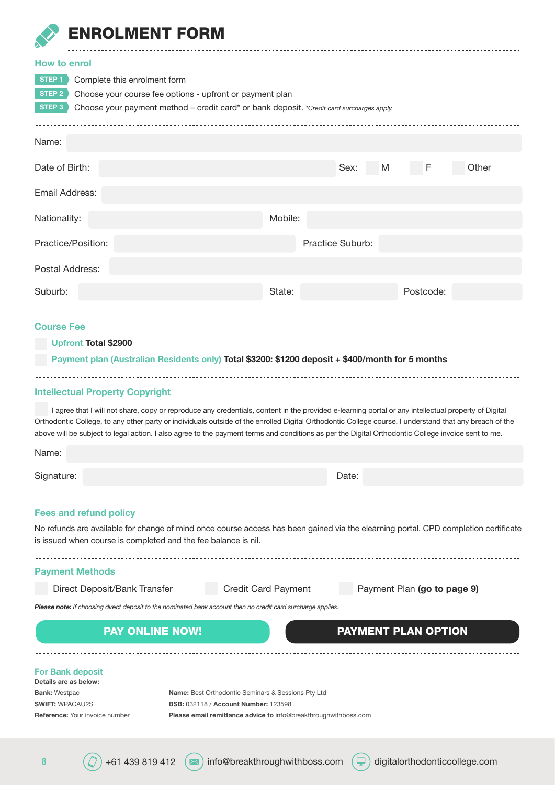

## ENROLMENT FORM

| <b>How to enrol</b><br>STEP <sub>1</sub><br>Complete this enrolment form<br>Choose your course fee options - upfront or payment plan<br>STEP 2<br>STEP 3<br>Choose your payment method - credit card* or bank deposit. *Credit card surcharges apply.                                                                                                                                                                                                               |                     |                  |                             |       |
|---------------------------------------------------------------------------------------------------------------------------------------------------------------------------------------------------------------------------------------------------------------------------------------------------------------------------------------------------------------------------------------------------------------------------------------------------------------------|---------------------|------------------|-----------------------------|-------|
| Name:                                                                                                                                                                                                                                                                                                                                                                                                                                                               |                     |                  |                             |       |
| Date of Birth:                                                                                                                                                                                                                                                                                                                                                                                                                                                      |                     | Sex:<br>M        | F                           | Other |
| Email Address:                                                                                                                                                                                                                                                                                                                                                                                                                                                      |                     |                  |                             |       |
| Nationality:                                                                                                                                                                                                                                                                                                                                                                                                                                                        | Mobile:             |                  |                             |       |
| Practice/Position:                                                                                                                                                                                                                                                                                                                                                                                                                                                  |                     | Practice Suburb: |                             |       |
| Postal Address:                                                                                                                                                                                                                                                                                                                                                                                                                                                     |                     |                  |                             |       |
| Suburb:                                                                                                                                                                                                                                                                                                                                                                                                                                                             | State:              |                  | Postcode:                   |       |
| <b>Course Fee</b>                                                                                                                                                                                                                                                                                                                                                                                                                                                   |                     |                  |                             |       |
| <b>Upfront Total \$2900</b>                                                                                                                                                                                                                                                                                                                                                                                                                                         |                     |                  |                             |       |
| Payment plan (Australian Residents only) Total \$3200: \$1200 deposit + \$400/month for 5 months                                                                                                                                                                                                                                                                                                                                                                    |                     |                  |                             |       |
|                                                                                                                                                                                                                                                                                                                                                                                                                                                                     |                     |                  |                             |       |
| <b>Intellectual Property Copyright</b>                                                                                                                                                                                                                                                                                                                                                                                                                              |                     |                  |                             |       |
| I agree that I will not share, copy or reproduce any credentials, content in the provided e-learning portal or any intellectual property of Digital<br>Orthodontic College, to any other party or individuals outside of the enrolled Digital Orthodontic College course. I understand that any breach of the<br>above will be subject to legal action. I also agree to the payment terms and conditions as per the Digital Orthodontic College invoice sent to me. |                     |                  |                             |       |
| Name:                                                                                                                                                                                                                                                                                                                                                                                                                                                               |                     |                  |                             |       |
| Signature:                                                                                                                                                                                                                                                                                                                                                                                                                                                          |                     | Date:            |                             |       |
|                                                                                                                                                                                                                                                                                                                                                                                                                                                                     |                     |                  |                             |       |
| <b>Fees and refund policy</b>                                                                                                                                                                                                                                                                                                                                                                                                                                       |                     |                  |                             |       |
| No refunds are available for change of mind once course access has been gained via the elearning portal. CPD completion certificate<br>is issued when course is completed and the fee balance is nil.                                                                                                                                                                                                                                                               |                     |                  |                             |       |
| <b>Payment Methods</b>                                                                                                                                                                                                                                                                                                                                                                                                                                              |                     |                  |                             |       |
| Direct Deposit/Bank Transfer                                                                                                                                                                                                                                                                                                                                                                                                                                        | Credit Card Payment |                  | Payment Plan (go to page 9) |       |
| Please note: If choosing direct deposit to the nominated bank account then no credit card surcharge applies.                                                                                                                                                                                                                                                                                                                                                        |                     |                  |                             |       |
| <b>PAY ONLINE NOW!</b>                                                                                                                                                                                                                                                                                                                                                                                                                                              |                     |                  | <b>PAYMENT PLAN OPTION</b>  |       |
|                                                                                                                                                                                                                                                                                                                                                                                                                                                                     |                     |                  |                             |       |
| <b>For Bank deposit</b><br>Details are as below:<br><b>Bank: Westpac</b><br><b>Name:</b> Best Orthodontic Seminars & Sessions Pty Ltd<br><b>SWIFT: WPACAU2S</b><br><b>BSB: 032118 / Account Number: 123598</b>                                                                                                                                                                                                                                                      |                     |                  |                             |       |
| <b>Reference:</b> Your invoice number<br>Please email remittance advice to info@breakthroughwithboss.com                                                                                                                                                                                                                                                                                                                                                            |                     |                  |                             |       |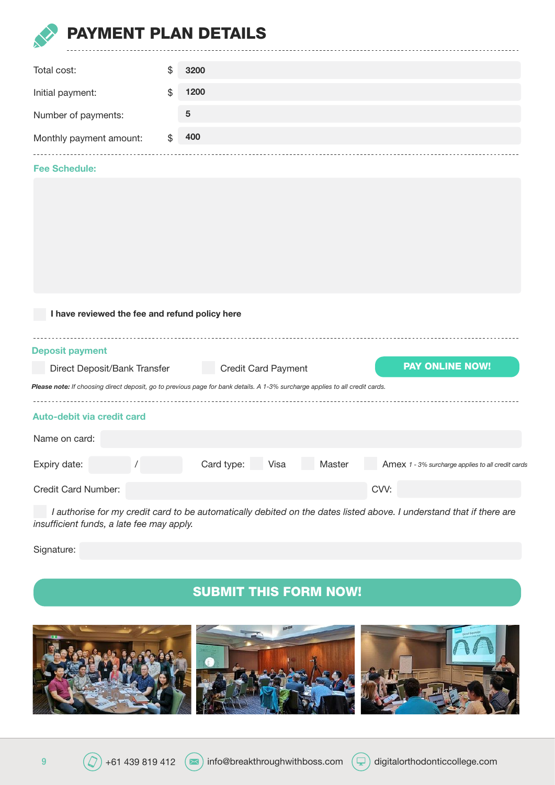<span id="page-8-0"></span>

## **MENT PLAN DETAILS**

| Total cost:             | S  | 3200 |
|-------------------------|----|------|
| Initial payment:        |    | 1200 |
| Number of payments:     |    | 5    |
| Monthly payment amount: | \$ | 400  |
|                         |    |      |

#### Fee Schedule:

| I have reviewed the fee and refund policy here                                                                               |  |                            |        |                                                   |  |  |  |  |
|------------------------------------------------------------------------------------------------------------------------------|--|----------------------------|--------|---------------------------------------------------|--|--|--|--|
| <b>Deposit payment</b>                                                                                                       |  |                            |        |                                                   |  |  |  |  |
| Direct Deposit/Bank Transfer                                                                                                 |  | <b>Credit Card Payment</b> |        | <b>PAY ONLINE NOW!</b>                            |  |  |  |  |
| Please note: If choosing direct deposit, go to previous page for bank details. A 1-3% surcharge applies to all credit cards. |  |                            |        |                                                   |  |  |  |  |
| Auto-debit via credit card                                                                                                   |  |                            |        |                                                   |  |  |  |  |
| Name on card:                                                                                                                |  |                            |        |                                                   |  |  |  |  |
| Expiry date:                                                                                                                 |  | Card type:<br>Visa         | Master | Amex 1 - 3% surcharge applies to all credit cards |  |  |  |  |
| Credit Card Number:                                                                                                          |  |                            |        | CVV:                                              |  |  |  |  |

 *I authorise for my credit card to be automatically debited on the dates listed above. I understand that if there are insufficient funds, a late fee may apply.*

Signature:

## SUBMIT THIS FORM NOW!